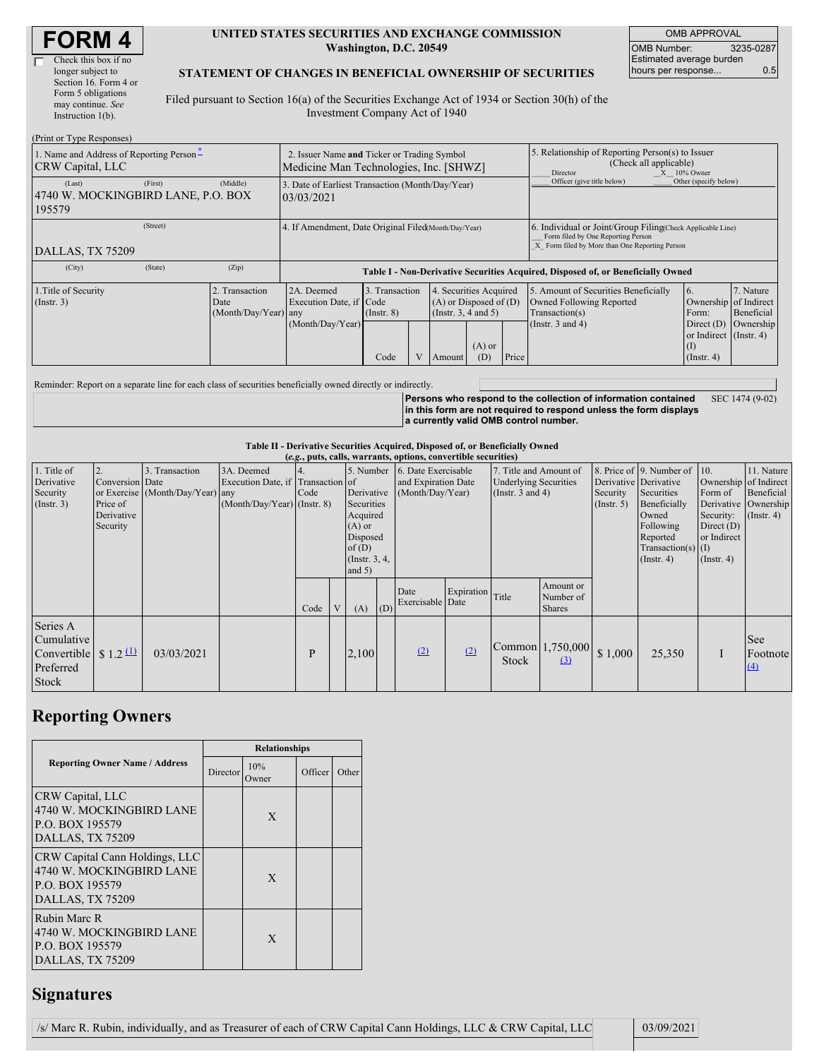| <b>FORM4</b> |
|--------------|
|--------------|

#### **UNITED STATES SECURITIES AND EXCHANGE COMMISSION Washington, D.C. 20549**

OMB APPROVAL OMB Number: 3235-0287 Estimated average burden hours per response... 0.5

### **STATEMENT OF CHANGES IN BENEFICIAL OWNERSHIP OF SECURITIES**

Filed pursuant to Section 16(a) of the Securities Exchange Act of 1934 or Section 30(h) of the Investment Company Act of 1940

| (Print or Type Responses)                                           |                                                                                       |                                                                                  |                 |  |                            |                                                                                                            |                            |                                                                                                                                                    |                        |            |  |
|---------------------------------------------------------------------|---------------------------------------------------------------------------------------|----------------------------------------------------------------------------------|-----------------|--|----------------------------|------------------------------------------------------------------------------------------------------------|----------------------------|----------------------------------------------------------------------------------------------------------------------------------------------------|------------------------|------------|--|
| 1. Name and Address of Reporting Person-<br><b>CRW</b> Capital, LLC | 2. Issuer Name and Ticker or Trading Symbol<br>Medicine Man Technologies, Inc. [SHWZ] |                                                                                  |                 |  |                            | 5. Relationship of Reporting Person(s) to Issuer<br>(Check all applicable)<br>$X = 10\%$ Owner<br>Director |                            |                                                                                                                                                    |                        |            |  |
| (First)<br>(Last)<br>4740 W. MOCKINGBIRD LANE, P.O. BOX<br>195579   | (Middle)                                                                              | 3. Date of Earliest Transaction (Month/Day/Year)<br>03/03/2021                   |                 |  |                            |                                                                                                            | Officer (give title below) | Other (specify below)                                                                                                                              |                        |            |  |
| (Street)<br>DALLAS, TX 75209                                        |                                                                                       | 4. If Amendment, Date Original Filed (Month/Day/Year)                            |                 |  |                            |                                                                                                            |                            | 6. Individual or Joint/Group Filing(Check Applicable Line)<br>Form filed by One Reporting Person<br>X Form filed by More than One Reporting Person |                        |            |  |
|                                                                     |                                                                                       |                                                                                  |                 |  |                            |                                                                                                            |                            |                                                                                                                                                    |                        |            |  |
| (City)<br>(State)                                                   | (Zip)                                                                                 | Table I - Non-Derivative Securities Acquired, Disposed of, or Beneficially Owned |                 |  |                            |                                                                                                            |                            |                                                                                                                                                    |                        |            |  |
| 1. Title of Security                                                | 2. Transaction                                                                        | 4. Securities Acquired<br>3. Transaction<br>2A. Deemed                           |                 |  |                            | 5. Amount of Securities Beneficially                                                                       | 6.                         | 7. Nature                                                                                                                                          |                        |            |  |
| $($ Instr. 3 $)$                                                    | Date                                                                                  | Execution Date, if Code                                                          |                 |  | $(A)$ or Disposed of $(D)$ |                                                                                                            |                            | Owned Following Reported                                                                                                                           | Ownership of Indirect  |            |  |
|                                                                     | (Month/Day/Year) any                                                                  |                                                                                  | $($ Instr. $8)$ |  | (Insert. 3, 4 and 5)       |                                                                                                            |                            | Transaction(s)                                                                                                                                     | Form:                  | Beneficial |  |
|                                                                     |                                                                                       | (Month/Day/Year)                                                                 |                 |  |                            |                                                                                                            |                            | (Instr. $3$ and $4$ )                                                                                                                              | Direct $(D)$           | Ownership  |  |
|                                                                     |                                                                                       |                                                                                  |                 |  |                            |                                                                                                            |                            |                                                                                                                                                    | or Indirect (Instr. 4) |            |  |
|                                                                     |                                                                                       |                                                                                  |                 |  |                            | $(A)$ or                                                                                                   |                            |                                                                                                                                                    | $($ I                  |            |  |
|                                                                     |                                                                                       |                                                                                  | Code            |  | Amount                     | (D)                                                                                                        | Price                      |                                                                                                                                                    | $($ Instr. 4 $)$       |            |  |

Reminder: Report on a separate line for each class of securities beneficially owned directly or indirectly.

**Persons who respond to the collection of information contained in this form are not required to respond unless the form displays a currently valid OMB control number.** SEC 1474 (9-02)

### **Table II - Derivative Securities Acquired, Disposed of, or Beneficially Owned**

| (e.g., puts, calls, warrants, options, convertible securities)     |                                                       |                                                    |                                                                                |      |   |                                                                                                      |     |                                                                          |            |                                                                                 |                                         |                                                  |                                                                                                                                          |                                                                                                                          |                                              |
|--------------------------------------------------------------------|-------------------------------------------------------|----------------------------------------------------|--------------------------------------------------------------------------------|------|---|------------------------------------------------------------------------------------------------------|-----|--------------------------------------------------------------------------|------------|---------------------------------------------------------------------------------|-----------------------------------------|--------------------------------------------------|------------------------------------------------------------------------------------------------------------------------------------------|--------------------------------------------------------------------------------------------------------------------------|----------------------------------------------|
| 1. Title of<br>Derivative<br>Security<br>$($ Instr. 3 $)$          | Conversion Date<br>Price of<br>Derivative<br>Security | 3. Transaction<br>or Exercise (Month/Day/Year) any | 3A. Deemed<br>Execution Date, if Transaction of<br>(Month/Day/Year) (Instr. 8) | Code |   | Derivative<br>Securities<br>Acquired<br>$(A)$ or<br>Disposed<br>of(D)<br>(Instr. $3, 4,$<br>and $5)$ |     | 5. Number 6. Date Exercisable<br>and Expiration Date<br>(Month/Day/Year) |            | 7. Title and Amount of<br><b>Underlying Securities</b><br>(Instr. $3$ and $4$ ) |                                         | Derivative Derivative<br>Security<br>(Insert. 5) | 8. Price of 9. Number of 10.<br>Securities<br>Beneficially<br>Owned<br>Following<br>Reported<br>$Transaction(s)$ (I)<br>$($ Instr. 4 $)$ | Ownership of Indirect<br>Form of<br>Derivative Ownership<br>Security:<br>Direct $(D)$<br>or Indirect<br>$($ Instr. 4 $)$ | 11. Nature<br>Beneficial<br>$($ Instr. 4 $)$ |
|                                                                    |                                                       |                                                    |                                                                                | Code | V | (A)                                                                                                  | (D) | Date<br>Exercisable Date                                                 | Expiration | Title                                                                           | Amount or<br>Number of<br><b>Shares</b> |                                                  |                                                                                                                                          |                                                                                                                          |                                              |
| Series A<br>Cumulative<br>Convertible<br>Preferred<br><b>Stock</b> | $$1.2 \, 11$                                          | 03/03/2021                                         |                                                                                | P    |   | 2,100                                                                                                |     | (2)                                                                      | (2)        | Stock                                                                           | $\text{Common}$ 1,750,000<br>$\Omega$   | \$1,000                                          | 25,350                                                                                                                                   |                                                                                                                          | <b>See</b><br>Footnote<br>$\left(4\right)$   |

# **Reporting Owners**

|                                                                                                   | <b>Relationships</b> |              |         |       |  |  |  |
|---------------------------------------------------------------------------------------------------|----------------------|--------------|---------|-------|--|--|--|
| <b>Reporting Owner Name / Address</b>                                                             | Director             | 10%<br>Owner | Officer | Other |  |  |  |
| CRW Capital, LLC<br>4740 W. MOCKINGBIRD LANE<br>P.O. BOX 195579<br>DALLAS, TX 75209               |                      | X            |         |       |  |  |  |
| CRW Capital Cann Holdings, LLC<br>4740 W. MOCKINGBIRD LANE<br>P.O. BOX 195579<br>DALLAS, TX 75209 |                      | X            |         |       |  |  |  |
| Rubin Marc R<br>4740 W. MOCKINGBIRD LANE<br>P.O. BOX 195579<br>DALLAS, TX 75209                   |                      | X            |         |       |  |  |  |

# **Signatures**

| /s/ Marc R. Rubin, individually, and as Treasurer of each of CRW Capital Cann Holdings, LLC & CRW Capital, LLC | 03/09/2021 |
|----------------------------------------------------------------------------------------------------------------|------------|
|----------------------------------------------------------------------------------------------------------------|------------|